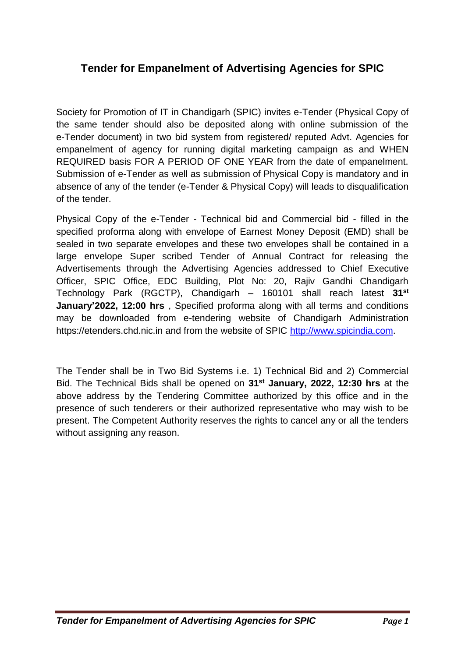# **Tender for Empanelment of Advertising Agencies for SPIC**

Society for Promotion of IT in Chandigarh (SPIC) invites e-Tender (Physical Copy of the same tender should also be deposited along with online submission of the e-Tender document) in two bid system from registered/ reputed Advt. Agencies for empanelment of agency for running digital marketing campaign as and WHEN REQUIRED basis FOR A PERIOD OF ONE YEAR from the date of empanelment. Submission of e-Tender as well as submission of Physical Copy is mandatory and in absence of any of the tender (e-Tender & Physical Copy) will leads to disqualification of the tender.

Physical Copy of the e-Tender - Technical bid and Commercial bid - filled in the specified proforma along with envelope of Earnest Money Deposit (EMD) shall be sealed in two separate envelopes and these two envelopes shall be contained in a large envelope Super scribed Tender of Annual Contract for releasing the Advertisements through the Advertising Agencies addressed to Chief Executive Officer, SPIC Office, EDC Building, Plot No: 20, Rajiv Gandhi Chandigarh Technology Park (RGCTP), Chandigarh – 160101 shall reach latest **31st January'2022, 12:00 hrs** , Specified proforma along with all terms and conditions may be downloaded from e-tendering website of Chandigarh Administration https://etenders.chd.nic.in and from the website of SPIC [http://www.spicindia.com.](http://www.spicindia.com/)

The Tender shall be in Two Bid Systems i.e. 1) Technical Bid and 2) Commercial Bid. The Technical Bids shall be opened on **31st January, 2022, 12:30 hrs** at the above address by the Tendering Committee authorized by this office and in the presence of such tenderers or their authorized representative who may wish to be present. The Competent Authority reserves the rights to cancel any or all the tenders without assigning any reason.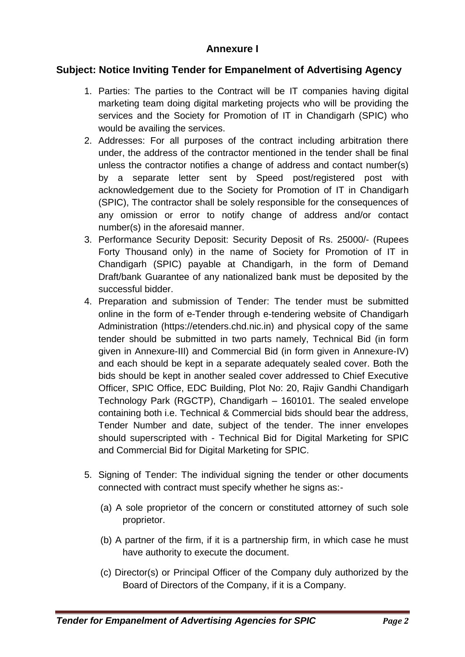#### **Annexure I**

## **Subject: Notice Inviting Tender for Empanelment of Advertising Agency**

- 1. Parties: The parties to the Contract will be IT companies having digital marketing team doing digital marketing projects who will be providing the services and the Society for Promotion of IT in Chandigarh (SPIC) who would be availing the services.
- 2. Addresses: For all purposes of the contract including arbitration there under, the address of the contractor mentioned in the tender shall be final unless the contractor notifies a change of address and contact number(s) by a separate letter sent by Speed post/registered post with acknowledgement due to the Society for Promotion of IT in Chandigarh (SPIC), The contractor shall be solely responsible for the consequences of any omission or error to notify change of address and/or contact number(s) in the aforesaid manner.
- 3. Performance Security Deposit: Security Deposit of Rs. 25000/- (Rupees Forty Thousand only) in the name of Society for Promotion of IT in Chandigarh (SPIC) payable at Chandigarh, in the form of Demand Draft/bank Guarantee of any nationalized bank must be deposited by the successful bidder.
- 4. Preparation and submission of Tender: The tender must be submitted online in the form of e-Tender through e-tendering website of Chandigarh Administration (https://etenders.chd.nic.in) and physical copy of the same tender should be submitted in two parts namely, Technical Bid (in form given in Annexure-III) and Commercial Bid (in form given in Annexure-IV) and each should be kept in a separate adequately sealed cover. Both the bids should be kept in another sealed cover addressed to Chief Executive Officer, SPIC Office, EDC Building, Plot No: 20, Rajiv Gandhi Chandigarh Technology Park (RGCTP), Chandigarh – 160101. The sealed envelope containing both i.e. Technical & Commercial bids should bear the address, Tender Number and date, subject of the tender. The inner envelopes should superscripted with - Technical Bid for Digital Marketing for SPIC and Commercial Bid for Digital Marketing for SPIC.
- 5. Signing of Tender: The individual signing the tender or other documents connected with contract must specify whether he signs as:-
	- (a) A sole proprietor of the concern or constituted attorney of such sole proprietor.
	- (b) A partner of the firm, if it is a partnership firm, in which case he must have authority to execute the document.
	- (c) Director(s) or Principal Officer of the Company duly authorized by the Board of Directors of the Company, if it is a Company.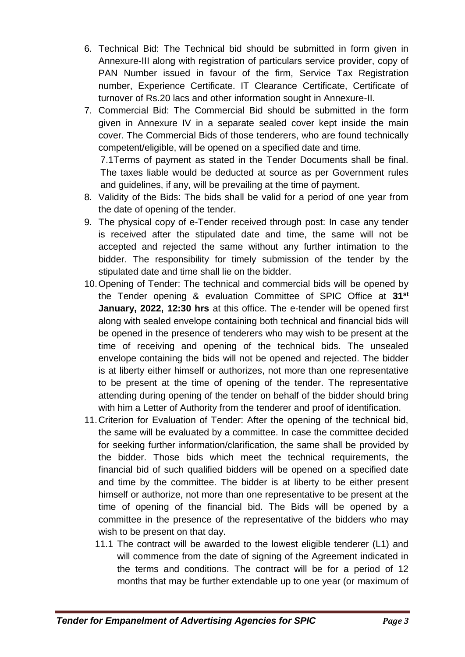- 6. Technical Bid: The Technical bid should be submitted in form given in Annexure-III along with registration of particulars service provider, copy of PAN Number issued in favour of the firm, Service Tax Registration number, Experience Certificate. IT Clearance Certificate, Certificate of turnover of Rs.20 lacs and other information sought in Annexure-II.
- 7. Commercial Bid: The Commercial Bid should be submitted in the form given in Annexure IV in a separate sealed cover kept inside the main cover. The Commercial Bids of those tenderers, who are found technically competent/eligible, will be opened on a specified date and time.

7.1Terms of payment as stated in the Tender Documents shall be final. The taxes liable would be deducted at source as per Government rules and guidelines, if any, will be prevailing at the time of payment.

- 8. Validity of the Bids: The bids shall be valid for a period of one year from the date of opening of the tender.
- 9. The physical copy of e-Tender received through post: In case any tender is received after the stipulated date and time, the same will not be accepted and rejected the same without any further intimation to the bidder. The responsibility for timely submission of the tender by the stipulated date and time shall lie on the bidder.
- 10.Opening of Tender: The technical and commercial bids will be opened by the Tender opening & evaluation Committee of SPIC Office at **31st January, 2022, 12:30 hrs** at this office. The e-tender will be opened first along with sealed envelope containing both technical and financial bids will be opened in the presence of tenderers who may wish to be present at the time of receiving and opening of the technical bids. The unsealed envelope containing the bids will not be opened and rejected. The bidder is at liberty either himself or authorizes, not more than one representative to be present at the time of opening of the tender. The representative attending during opening of the tender on behalf of the bidder should bring with him a Letter of Authority from the tenderer and proof of identification.
- 11.Criterion for Evaluation of Tender: After the opening of the technical bid, the same will be evaluated by a committee. In case the committee decided for seeking further information/clarification, the same shall be provided by the bidder. Those bids which meet the technical requirements, the financial bid of such qualified bidders will be opened on a specified date and time by the committee. The bidder is at liberty to be either present himself or authorize, not more than one representative to be present at the time of opening of the financial bid. The Bids will be opened by a committee in the presence of the representative of the bidders who may wish to be present on that day.
	- 11.1 The contract will be awarded to the lowest eligible tenderer (L1) and will commence from the date of signing of the Agreement indicated in the terms and conditions. The contract will be for a period of 12 months that may be further extendable up to one year (or maximum of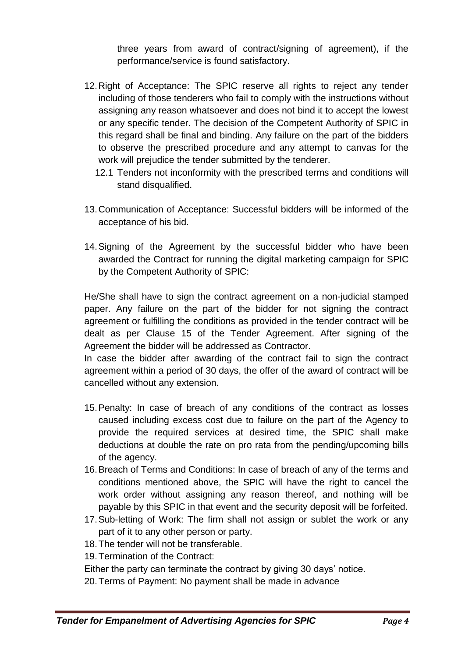three years from award of contract/signing of agreement), if the performance/service is found satisfactory.

- 12.Right of Acceptance: The SPIC reserve all rights to reject any tender including of those tenderers who fail to comply with the instructions without assigning any reason whatsoever and does not bind it to accept the lowest or any specific tender. The decision of the Competent Authority of SPIC in this regard shall be final and binding. Any failure on the part of the bidders to observe the prescribed procedure and any attempt to canvas for the work will prejudice the tender submitted by the tenderer.
	- 12.1 Tenders not inconformity with the prescribed terms and conditions will stand disqualified.
- 13.Communication of Acceptance: Successful bidders will be informed of the acceptance of his bid.
- 14.Signing of the Agreement by the successful bidder who have been awarded the Contract for running the digital marketing campaign for SPIC by the Competent Authority of SPIC:

He/She shall have to sign the contract agreement on a non-judicial stamped paper. Any failure on the part of the bidder for not signing the contract agreement or fulfilling the conditions as provided in the tender contract will be dealt as per Clause 15 of the Tender Agreement. After signing of the Agreement the bidder will be addressed as Contractor.

In case the bidder after awarding of the contract fail to sign the contract agreement within a period of 30 days, the offer of the award of contract will be cancelled without any extension.

- 15.Penalty: In case of breach of any conditions of the contract as losses caused including excess cost due to failure on the part of the Agency to provide the required services at desired time, the SPIC shall make deductions at double the rate on pro rata from the pending/upcoming bills of the agency.
- 16.Breach of Terms and Conditions: In case of breach of any of the terms and conditions mentioned above, the SPIC will have the right to cancel the work order without assigning any reason thereof, and nothing will be payable by this SPIC in that event and the security deposit will be forfeited.
- 17.Sub-letting of Work: The firm shall not assign or sublet the work or any part of it to any other person or party.
- 18.The tender will not be transferable.
- 19.Termination of the Contract:

Either the party can terminate the contract by giving 30 days' notice.

20.Terms of Payment: No payment shall be made in advance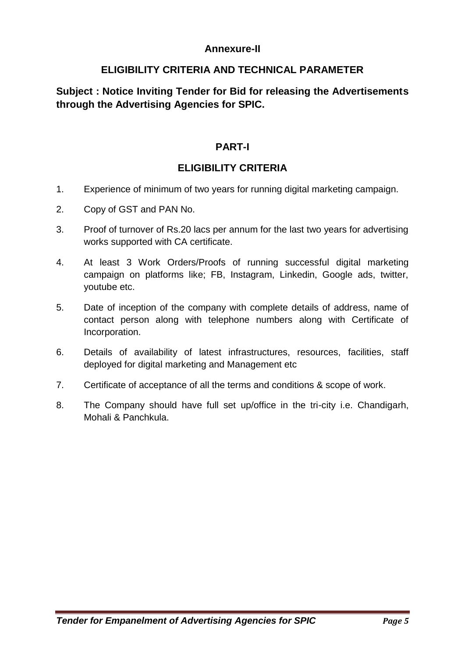## **Annexure-II**

## **ELIGIBILITY CRITERIA AND TECHNICAL PARAMETER**

## **Subject : Notice Inviting Tender for Bid for releasing the Advertisements through the Advertising Agencies for SPIC.**

#### **PART-I**

## **ELIGIBILITY CRITERIA**

- 1. Experience of minimum of two years for running digital marketing campaign.
- 2. Copy of GST and PAN No.
- 3. Proof of turnover of Rs.20 lacs per annum for the last two years for advertising works supported with CA certificate.
- 4. At least 3 Work Orders/Proofs of running successful digital marketing campaign on platforms like; FB, Instagram, Linkedin, Google ads, twitter, youtube etc.
- 5. Date of inception of the company with complete details of address, name of contact person along with telephone numbers along with Certificate of Incorporation.
- 6. Details of availability of latest infrastructures, resources, facilities, staff deployed for digital marketing and Management etc
- 7. Certificate of acceptance of all the terms and conditions & scope of work.
- 8. The Company should have full set up/office in the tri-city i.e. Chandigarh, Mohali & Panchkula.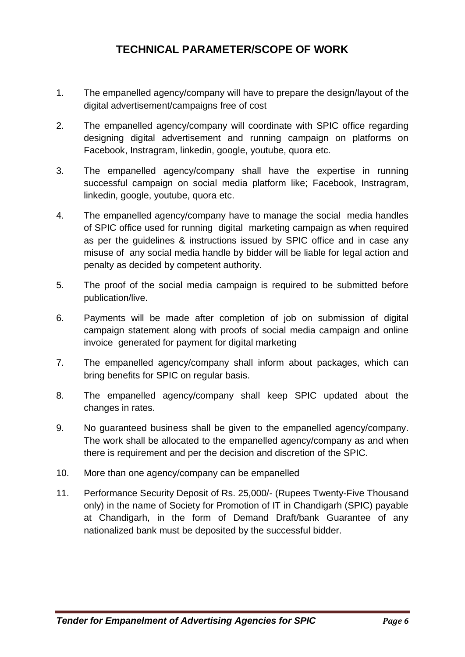# **TECHNICAL PARAMETER/SCOPE OF WORK**

- 1. The empanelled agency/company will have to prepare the design/layout of the digital advertisement/campaigns free of cost
- 2. The empanelled agency/company will coordinate with SPIC office regarding designing digital advertisement and running campaign on platforms on Facebook, Instragram, linkedin, google, youtube, quora etc.
- 3. The empanelled agency/company shall have the expertise in running successful campaign on social media platform like; Facebook, Instragram, linkedin, google, youtube, quora etc.
- 4. The empanelled agency/company have to manage the social media handles of SPIC office used for running digital marketing campaign as when required as per the guidelines & instructions issued by SPIC office and in case any misuse of any social media handle by bidder will be liable for legal action and penalty as decided by competent authority.
- 5. The proof of the social media campaign is required to be submitted before publication/live.
- 6. Payments will be made after completion of job on submission of digital campaign statement along with proofs of social media campaign and online invoice generated for payment for digital marketing
- 7. The empanelled agency/company shall inform about packages, which can bring benefits for SPIC on regular basis.
- 8. The empanelled agency/company shall keep SPIC updated about the changes in rates.
- 9. No guaranteed business shall be given to the empanelled agency/company. The work shall be allocated to the empanelled agency/company as and when there is requirement and per the decision and discretion of the SPIC.
- 10. More than one agency/company can be empanelled
- 11. Performance Security Deposit of Rs. 25,000/- (Rupees Twenty-Five Thousand only) in the name of Society for Promotion of IT in Chandigarh (SPIC) payable at Chandigarh, in the form of Demand Draft/bank Guarantee of any nationalized bank must be deposited by the successful bidder.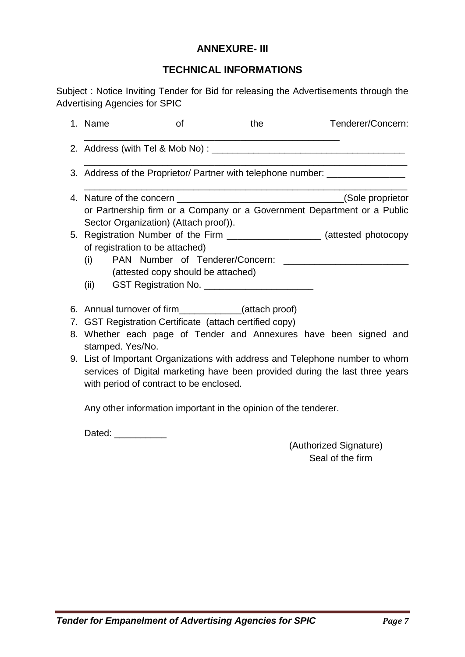#### **ANNEXURE- III**

#### **TECHNICAL INFORMATIONS**

Subject : Notice Inviting Tender for Bid for releasing the Advertisements through the Advertising Agencies for SPIC

|  | 1. Name                                                                     | <b>of</b>                          | the                             | Tenderer/Concern:                                                                |
|--|-----------------------------------------------------------------------------|------------------------------------|---------------------------------|----------------------------------------------------------------------------------|
|  | 2. Address (with Tel & Mob No) : _____                                      |                                    |                                 |                                                                                  |
|  |                                                                             |                                    |                                 | 3. Address of the Proprietor/ Partner with telephone number: ___________________ |
|  |                                                                             |                                    |                                 |                                                                                  |
|  | Sector Organization) (Attach proof)).                                       |                                    |                                 | or Partnership firm or a Company or a Government Department or a Public          |
|  | of registration to be attached)                                             |                                    |                                 | 5. Registration Number of the Firm _____________________ (attested photocopy     |
|  | (i)                                                                         | (attested copy should be attached) | PAN Number of Tenderer/Concern: |                                                                                  |
|  |                                                                             |                                    |                                 |                                                                                  |
|  | 6. Annual turnover of firm_____________(attach proof)                       |                                    |                                 |                                                                                  |
|  | 7. GST Registration Certificate (attach certified copy)<br>stamped. Yes/No. |                                    |                                 | 8. Whether each page of Tender and Annexures have been signed and                |

9. List of Important Organizations with address and Telephone number to whom services of Digital marketing have been provided during the last three years with period of contract to be enclosed.

Any other information important in the opinion of the tenderer.

Dated: \_\_\_\_\_\_\_\_\_\_

(Authorized Signature) Seal of the firm